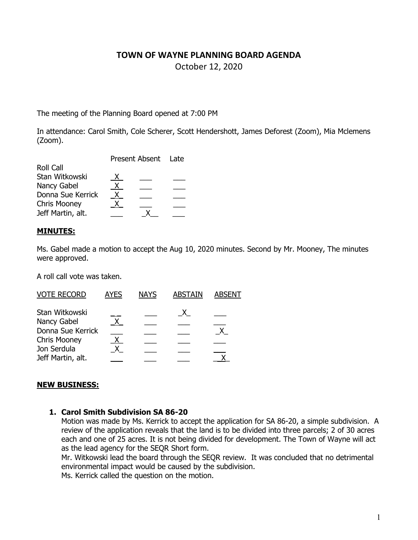### **TOWN OF WAYNE PLANNING BOARD AGENDA**

October 12, 2020

The meeting of the Planning Board opened at 7:00 PM

In attendance: Carol Smith, Cole Scherer, Scott Hendershott, James Deforest (Zoom), Mia Mclemens (Zoom).

|                     | Present Absent Late |  |  |
|---------------------|---------------------|--|--|
| <b>Roll Call</b>    |                     |  |  |
| Stan Witkowski      | $\mathsf{X}$        |  |  |
| Nancy Gabel         | X.                  |  |  |
| Donna Sue Kerrick   | X.                  |  |  |
| <b>Chris Mooney</b> | $\mathbf{x}$        |  |  |
| Jeff Martin, alt.   |                     |  |  |
|                     |                     |  |  |

### **MINUTES:**

Ms. Gabel made a motion to accept the Aug 10, 2020 minutes. Second by Mr. Mooney, The minutes were approved.

A roll call vote was taken.

| <b>VOTE RECORD</b>  | <b>AYES</b> | <b>NAYS</b> | <b>ABSTAIN</b> | <b>ABSENT</b> |
|---------------------|-------------|-------------|----------------|---------------|
| Stan Witkowski      |             |             |                |               |
| Nancy Gabel         |             |             |                |               |
| Donna Sue Kerrick   |             |             |                |               |
| <b>Chris Mooney</b> | X.          |             |                |               |
| Jon Serdula         |             |             |                |               |
| Jeff Martin, alt.   |             |             |                |               |

### **NEW BUSINESS:**

### **1. Carol Smith Subdivision SA 86-20**

Motion was made by Ms. Kerrick to accept the application for SA 86-20, a simple subdivision. A review of the application reveals that the land is to be divided into three parcels; 2 of 30 acres each and one of 25 acres. It is not being divided for development. The Town of Wayne will act as the lead agency for the SEQR Short form.

Mr. Witkowski lead the board through the SEQR review. It was concluded that no detrimental environmental impact would be caused by the subdivision.

Ms. Kerrick called the question on the motion.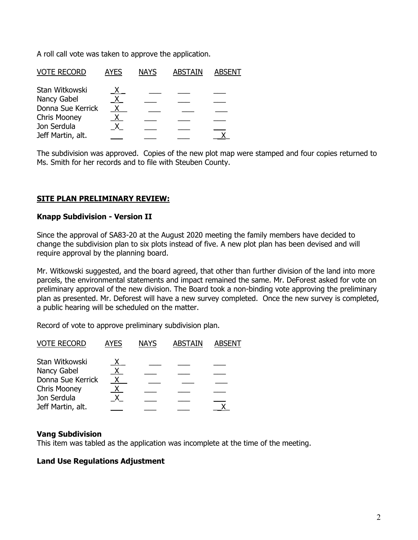A roll call vote was taken to approve the application.

| <b>VOTE RECORD</b>  | <b>AYES</b> | <b>NAYS</b> | <b>ABSTAIN</b> | <b>ABSENT</b> |
|---------------------|-------------|-------------|----------------|---------------|
| Stan Witkowski      |             |             |                |               |
| Nancy Gabel         | X.          |             |                |               |
| Donna Sue Kerrick   |             |             |                |               |
| <b>Chris Mooney</b> |             |             |                |               |
| Jon Serdula         |             |             |                |               |
| Jeff Martin, alt.   |             |             |                |               |

The subdivision was approved. Copies of the new plot map were stamped and four copies returned to Ms. Smith for her records and to file with Steuben County.

# **SITE PLAN PRELIMINARY REVIEW:**

### **Knapp Subdivision - Version II**

Since the approval of SA83-20 at the August 2020 meeting the family members have decided to change the subdivision plan to six plots instead of five. A new plot plan has been devised and will require approval by the planning board.

Mr. Witkowski suggested, and the board agreed, that other than further division of the land into more parcels, the environmental statements and impact remained the same. Mr. DeForest asked for vote on preliminary approval of the new division. The Board took a non-binding vote approving the preliminary plan as presented. Mr. Deforest will have a new survey completed. Once the new survey is completed, a public hearing will be scheduled on the matter.

Record of vote to approve preliminary subdivision plan.

| <b>VOTE RECORD</b>  | <b>AYES</b> | <b>NAYS</b> | <b>ABSTAIN</b> | <b>ABSENT</b> |
|---------------------|-------------|-------------|----------------|---------------|
| Stan Witkowski      |             |             |                |               |
| Nancy Gabel         | X.          |             |                |               |
| Donna Sue Kerrick   |             |             |                |               |
| <b>Chris Mooney</b> |             |             |                |               |
| Jon Serdula         |             |             |                |               |
| Jeff Martin, alt.   |             |             |                |               |

### **Vang Subdivision**

This item was tabled as the application was incomplete at the time of the meeting.

# **Land Use Regulations Adjustment**